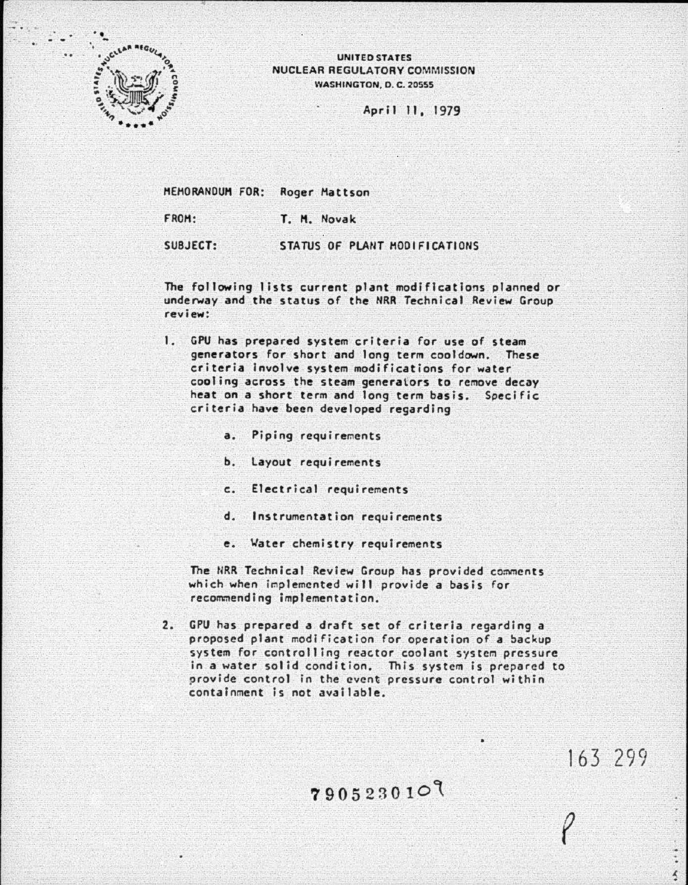

UNITED STATES NUCLEAR REGULATORY COMMISSION WASHINGTON, D. C. 2055S

April 11, 1979

HEHORANDUH FOR: Roger Mattson FROH: T. H. Novak

SUBJECT: STATUS OF PLANT MODIFICATIONS

The following lists current plant modifications planned or underway and the status of the NRR Technical Review Group review:

I. GPU has prepared system criteria for use of steam generators for short and long term cooldown. These criteria Involve system modifications for water cooling across the steam generalors to remove decay heat on a short term and long term basis. Specific criteria have been developed regarding

- a. Piping requirements
- b. layout requirements
- c. Electrical requirements
- d. Instrumentation requirements
- e. Water chemistry requirements

The NRR Technical Review Group has provided comments which when implemented will provide a basis for recommending implementation.

2. GPU has prepared a draft set of criteria regarding a proposed plant modification for operation of a backup system for controlling reactor coolant system pressure in a water solid condition. This system is prepared to provide control in the event pressure control within containment is not available.

790523010\

163 299

 $\ddot{\cdot}$  $\frac{1}{2}$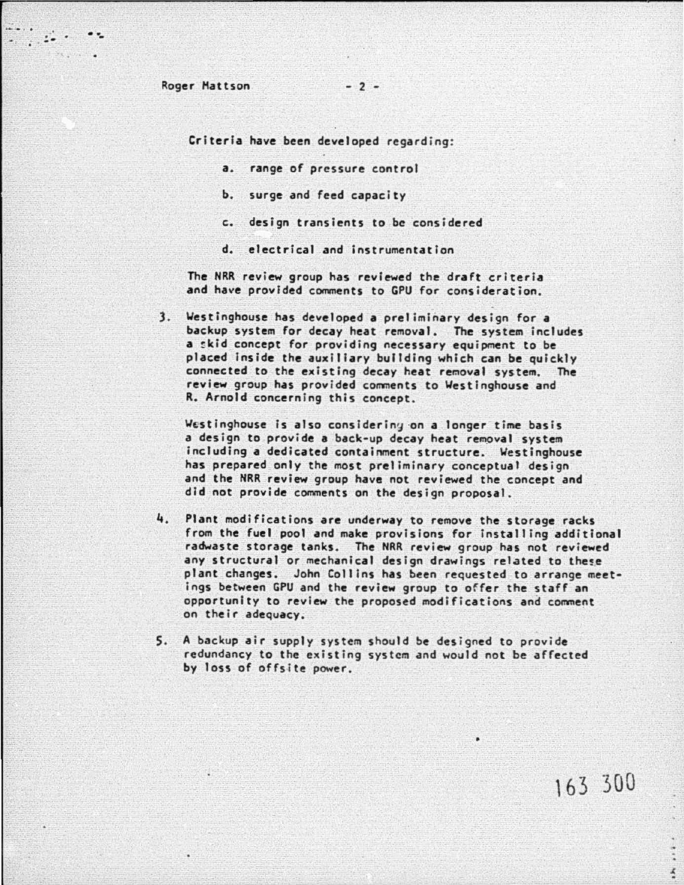..

 $\cdot \cdot \cdot$  :

Criteria have been developed regarding:

- a. range of pressure control
- b. surge and feed capacity
- c. design transients to be considered
- d. electrical and instrumentation

The NRR review group has reviewed the draft criteria and have provided comments to CPU for consideration.

3. Westinghouse has developed a preliminary design for a backup system for decay heat removal. The system includes a skid concept for providing necessary equipment to be placed inside the auxiliary building which can be quickly connected to the existing decay heat removal system. The review group has provided comments to Westinghouse and R. Arnold concerning this concept.

Westinghouse is also consideriny on a longer time basis a design to provide a back-up decay heat removal system including a dedicated containment structure. Westinghouse has prepared only the most preliminary conceptual design and the NRR review group have not reviewed the concept and did not provide comments on the design proposal.

- 4. Plant modifications are underway to remove the storage racks from the fuel pool and make provisions for installing additional radwaste storage tanks. The NRR review group has not reviewed any structural or mechanical design drawings related to these plant changes. John Collins has been requested to arrange meetings between CPU and the review group to *o ffer* the staff an opportunity to review the proposed modifications and comme~t on their adequacy.
- 5. A backup air supply system should be designed to provide redundancy to the existing system and would not be affected by loss of offsite power.

163 300

 $\frac{1}{2}$